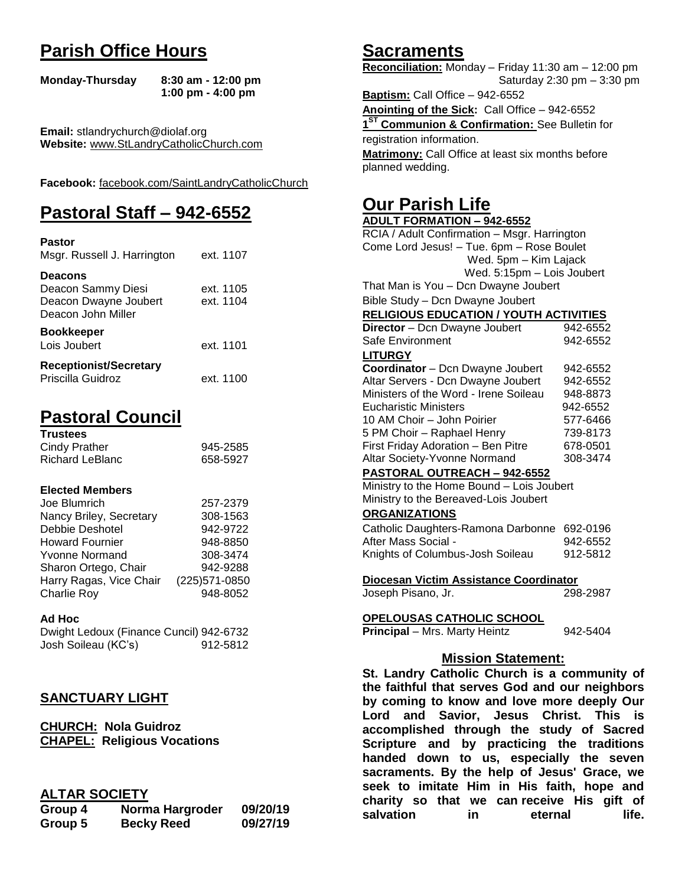## **Parish Office Hours**

```
Monday-Thursday 8:30 am - 12:00 pm
       1:00 pm - 4:00 pm
```
**Email:** stlandrychurch@diolaf.org **Website:** [www.StLandryCatholicChurch.com](http://www.stlandrycatholicchurch.com/)

**Facebook:** [facebook.com/SaintLandryCatholicChurch](http://facebook.com/SaintLandryCatholicChurch)

# **Pastoral Staff – 942-6552**

| <b>Pastor</b><br>Msgr. Russell J. Harrington                                        | ext. 1107              |
|-------------------------------------------------------------------------------------|------------------------|
| <b>Deacons</b><br>Deacon Sammy Diesi<br>Deacon Dwayne Joubert<br>Deacon John Miller | ext. 1105<br>ext. 1104 |
| <b>Bookkeeper</b><br>Lois Joubert                                                   | ext. 1101              |
| <b>Receptionist/Secretary</b><br>Priscilla Guidroz                                  | ext. 1100              |

# **Pastoral Council**

| <b>Trustees</b> |          |
|-----------------|----------|
| Cindy Prather   | 945-2585 |
| Richard LeBlanc | 658-5927 |

#### **Elected Members**

| Joe Blumrich            | 257-2379       |
|-------------------------|----------------|
| Nancy Briley, Secretary | 308-1563       |
| Debbie Deshotel         | 942-9722       |
| <b>Howard Fournier</b>  | 948-8850       |
| <b>Yvonne Normand</b>   | 308-3474       |
| Sharon Ortego, Chair    | 942-9288       |
| Harry Ragas, Vice Chair | (225) 571-0850 |
| <b>Charlie Roy</b>      | 948-8052       |

#### **Ad Hoc**

Dwight Ledoux (Finance Cuncil) 942-6732 Josh Soileau (KC's) 912-5812

## **SANCTUARY LIGHT**

**CHURCH: Nola Guidroz CHAPEL: Religious Vocations**

## **ALTAR SOCIETY**

| Group 4 | Norma Hargroder   | 09/20/19 |
|---------|-------------------|----------|
| Group 5 | <b>Becky Reed</b> | 09/27/19 |

## **Sacraments**

**Reconciliation:** Monday – Friday 11:30 am – 12:00 pm Saturday 2:30 pm – 3:30 pm

**Baptism:** Call Office – 942-6552 **Anointing of the Sick:** Call Office – 942-6552 **1 ST Communion & Confirmation:** See Bulletin for registration information. **Matrimony:** Call Office at least six months before planned wedding.

## **Our Parish Life**

| <b>ADULT FORMATION - 942-6552</b>              |          |  |
|------------------------------------------------|----------|--|
| RCIA / Adult Confirmation - Msgr. Harrington   |          |  |
| Come Lord Jesus! - Tue. 6pm - Rose Boulet      |          |  |
| Wed. 5pm - Kim Lajack                          |          |  |
| Wed. 5:15pm - Lois Joubert                     |          |  |
| That Man is You - Dcn Dwayne Joubert           |          |  |
| Bible Study - Dcn Dwayne Joubert               |          |  |
| <b>RELIGIOUS EDUCATION / YOUTH ACTIVITIES</b>  |          |  |
| Director - Dcn Dwayne Joubert                  | 942-6552 |  |
| Safe Environment                               | 942-6552 |  |
| <b>LITURGY</b>                                 |          |  |
| Coordinator - Dcn Dwayne Joubert               | 942-6552 |  |
| Altar Servers - Dcn Dwayne Joubert             | 942-6552 |  |
| Ministers of the Word - Irene Soileau          | 948-8873 |  |
| <b>Eucharistic Ministers</b>                   | 942-6552 |  |
| 10 AM Choir - John Poirier                     | 577-6466 |  |
| 5 PM Choir - Raphael Henry                     | 739-8173 |  |
| First Friday Adoration - Ben Pitre             | 678-0501 |  |
| Altar Society-Yvonne Normand                   | 308-3474 |  |
| PASTORAL OUTREACH - 942-6552                   |          |  |
| Ministry to the Home Bound - Lois Joubert      |          |  |
| Ministry to the Bereaved-Lois Joubert          |          |  |
| <b>ORGANIZATIONS</b>                           |          |  |
| Catholic Daughters-Ramona Darbonne 692-0196    |          |  |
| After Mass Social -                            | 942-6552 |  |
| Knights of Columbus-Josh Soileau               | 912-5812 |  |
|                                                |          |  |
| Diocesan Victim Assistance Coordinator         |          |  |
| Joseph Pisano, Jr.                             | 298-2987 |  |
|                                                |          |  |
| <u>OPELOUSAS CATHOLIC SCHOOL</u>               |          |  |
| Principal - Mrs. Marty Heintz                  | 942-5404 |  |
|                                                |          |  |
| <b>Mission Statement:</b>                      |          |  |
| St. Landry Catholic Church is a community of   |          |  |
| the faithful that serves God and our neighbors |          |  |
| by coming to know and love more deeply Our     |          |  |
| Lord and Savior, Jesus Christ. This<br>is.     |          |  |
| accomplished through the study of Sacred       |          |  |
| Scripture and by practicing the traditions     |          |  |
|                                                |          |  |

**handed down to us, especially the seven sacraments. By the help of Jesus' Grace, we seek to imitate Him in His faith, hope and charity so that we can receive His gift of salvation in** eternal life.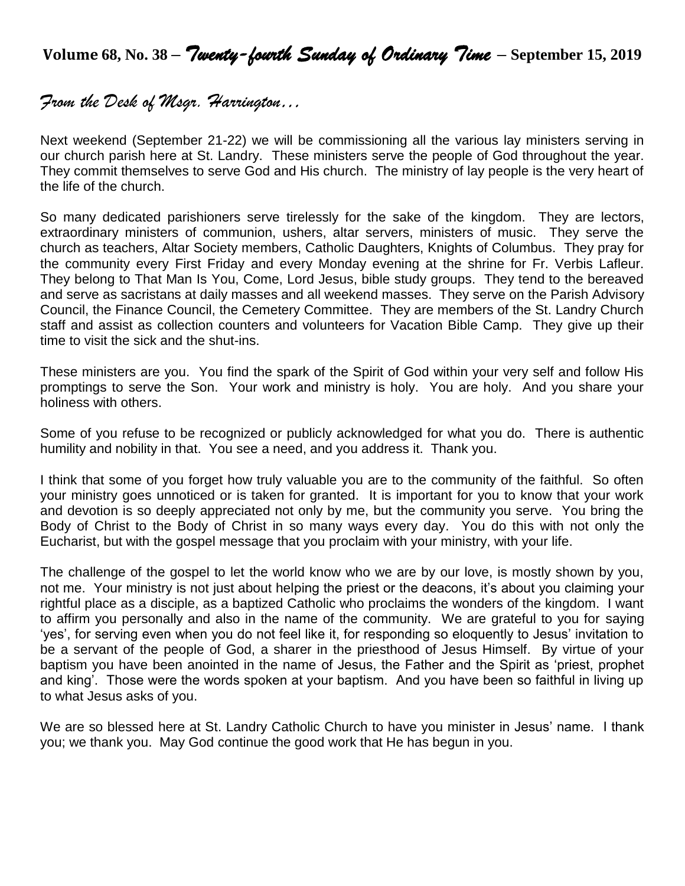**Volume 68, No. 38 –** *Twenty-fourth Sunday of Ordinary Time* **– September 15, <sup>2019</sup>**

## *From the Desk of Msgr. Harrington…*

Next weekend (September 21-22) we will be commissioning all the various lay ministers serving in our church parish here at St. Landry. These ministers serve the people of God throughout the year. They commit themselves to serve God and His church. The ministry of lay people is the very heart of the life of the church.

So many dedicated parishioners serve tirelessly for the sake of the kingdom. They are lectors, extraordinary ministers of communion, ushers, altar servers, ministers of music. They serve the church as teachers, Altar Society members, Catholic Daughters, Knights of Columbus. They pray for the community every First Friday and every Monday evening at the shrine for Fr. Verbis Lafleur. They belong to That Man Is You, Come, Lord Jesus, bible study groups. They tend to the bereaved and serve as sacristans at daily masses and all weekend masses. They serve on the Parish Advisory Council, the Finance Council, the Cemetery Committee. They are members of the St. Landry Church staff and assist as collection counters and volunteers for Vacation Bible Camp. They give up their time to visit the sick and the shut-ins.

These ministers are you. You find the spark of the Spirit of God within your very self and follow His promptings to serve the Son. Your work and ministry is holy. You are holy. And you share your holiness with others.

Some of you refuse to be recognized or publicly acknowledged for what you do. There is authentic humility and nobility in that. You see a need, and you address it. Thank you.

I think that some of you forget how truly valuable you are to the community of the faithful. So often your ministry goes unnoticed or is taken for granted. It is important for you to know that your work and devotion is so deeply appreciated not only by me, but the community you serve. You bring the Body of Christ to the Body of Christ in so many ways every day. You do this with not only the Eucharist, but with the gospel message that you proclaim with your ministry, with your life.

The challenge of the gospel to let the world know who we are by our love, is mostly shown by you, not me. Your ministry is not just about helping the priest or the deacons, it's about you claiming your rightful place as a disciple, as a baptized Catholic who proclaims the wonders of the kingdom. I want to affirm you personally and also in the name of the community. We are grateful to you for saying 'yes', for serving even when you do not feel like it, for responding so eloquently to Jesus' invitation to be a servant of the people of God, a sharer in the priesthood of Jesus Himself. By virtue of your baptism you have been anointed in the name of Jesus, the Father and the Spirit as 'priest, prophet and king'. Those were the words spoken at your baptism. And you have been so faithful in living up to what Jesus asks of you.

We are so blessed here at St. Landry Catholic Church to have you minister in Jesus' name. I thank you; we thank you. May God continue the good work that He has begun in you.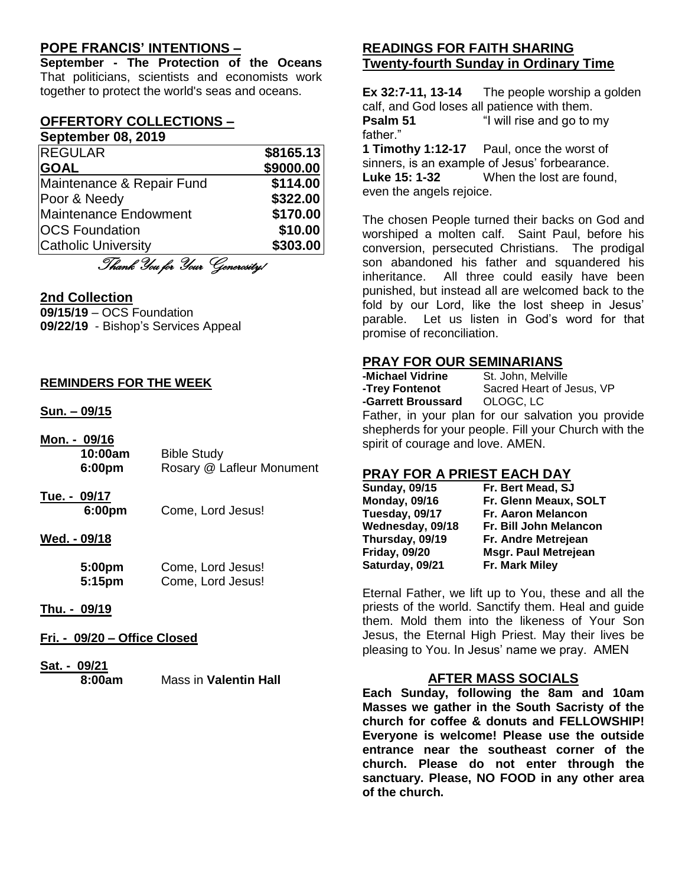## **POPE FRANCIS' INTENTIONS –**

**September - The Protection of the Oceans** That politicians, scientists and economists work together to protect the world's seas and oceans.

#### **OFFERTORY COLLECTIONS – September 08, 2019**

| <b>REGULAR</b>             | \$8165.13 |
|----------------------------|-----------|
| <b>GOAL</b>                | \$9000.00 |
| Maintenance & Repair Fund  | \$114.00  |
| Poor & Needy               | \$322.00  |
| Maintenance Endowment      | \$170.00  |
| <b>OCS Foundation</b>      | \$10.00   |
| <b>Catholic University</b> | \$303.00  |

Thank You for Your Generosity!

### **2nd Collection**

**09/15/19** – OCS Foundation **09/22/19** - Bishop's Services Appeal

#### **REMINDERS FOR THE WEEK**

#### **Sun. – 09/15**

| Mon. - 09/16 |                           |
|--------------|---------------------------|
| 10:00am      | <b>Bible Study</b>        |
| 6:00pm       | Rosary @ Lafleur Monument |

**Tue. - 09/17 6:00pm** Come, Lord Jesus!

#### **Wed. - 09/18**

| 5:00pm | Come, Lord Jesus! |
|--------|-------------------|
| 5:15pm | Come, Lord Jesus! |

#### **Thu. - 09/19**

**Fri. - 09/20 – Office Closed**

## **Sat. - 09/21**

**8:00am** Mass in **Valentin Hall**

## **READINGS FOR FAITH SHARING Twenty-fourth Sunday in Ordinary Time**

**Ex 32:7-11, 13-14** The people worship a golden calf, and God loses all patience with them. **Psalm 51** "I will rise and go to my father."

**1 Timothy 1:12-17** Paul, once the worst of sinners, is an example of Jesus' forbearance. **Luke 15: 1-32** When the lost are found, even the angels rejoice.

The chosen People turned their backs on God and worshiped a molten calf. Saint Paul, before his conversion, persecuted Christians. The prodigal son abandoned his father and squandered his inheritance. All three could easily have been punished, but instead all are welcomed back to the fold by our Lord, like the lost sheep in Jesus' parable. Let us listen in God's word for that promise of reconciliation.

### **PRAY FOR OUR SEMINARIANS**

| -Michael Vidrine                                     | St. John, Melville                                 |
|------------------------------------------------------|----------------------------------------------------|
| -Trey Fontenot                                       | Sacred Heart of Jesus, VP                          |
| -Garrett Broussard OLOGC, LC                         |                                                    |
|                                                      | Father, in your plan for our salvation you provide |
| shepherds for your people. Fill your Church with the |                                                    |
| spirit of courage and love. AMEN.                    |                                                    |

## **PRAY FOR A PRIEST EACH DAY**

| <b>Sunday, 09/15</b> | Fr. Bert Mead, SJ           |
|----------------------|-----------------------------|
| <b>Monday, 09/16</b> | Fr. Glenn Meaux, SOLT       |
| Tuesday, 09/17       | Fr. Aaron Melancon          |
| Wednesday, 09/18     | Fr. Bill John Melancon      |
| Thursday, 09/19      | Fr. Andre Metrejean         |
| <b>Friday, 09/20</b> | <b>Msgr. Paul Metrejean</b> |
| Saturday, 09/21      | Fr. Mark Miley              |

Eternal Father, we lift up to You, these and all the priests of the world. Sanctify them. Heal and guide them. Mold them into the likeness of Your Son Jesus, the Eternal High Priest. May their lives be pleasing to You. In Jesus' name we pray. AMEN

## **AFTER MASS SOCIALS**

**Each Sunday, following the 8am and 10am Masses we gather in the South Sacristy of the church for coffee & donuts and FELLOWSHIP! Everyone is welcome! Please use the outside entrance near the southeast corner of the church. Please do not enter through the sanctuary. Please, NO FOOD in any other area of the church.**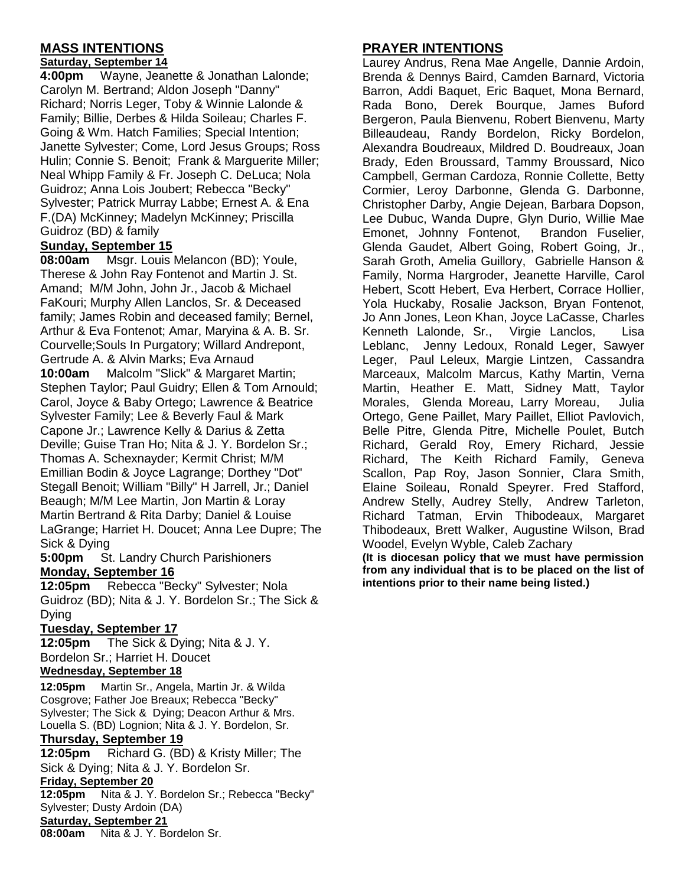## **MASS INTENTIONS**

#### **Saturday, September 14**

**4:00pm** Wayne, Jeanette & Jonathan Lalonde; Carolyn M. Bertrand; Aldon Joseph "Danny" Richard; Norris Leger, Toby & Winnie Lalonde & Family; Billie, Derbes & Hilda Soileau; Charles F. Going & Wm. Hatch Families; Special Intention; Janette Sylvester; Come, Lord Jesus Groups; Ross Hulin; Connie S. Benoit; Frank & Marguerite Miller; Neal Whipp Family & Fr. Joseph C. DeLuca; Nola Guidroz; Anna Lois Joubert; Rebecca "Becky" Sylvester; Patrick Murray Labbe; Ernest A. & Ena F.(DA) McKinney; Madelyn McKinney; Priscilla Guidroz (BD) & family

### **Sunday, September 15**

**08:00am** Msgr. Louis Melancon (BD); Youle, Therese & John Ray Fontenot and Martin J. St. Amand; M/M John, John Jr., Jacob & Michael FaKouri; Murphy Allen Lanclos, Sr. & Deceased family; James Robin and deceased family; Bernel, Arthur & Eva Fontenot; Amar, Maryina & A. B. Sr. Courvelle;Souls In Purgatory; Willard Andrepont, Gertrude A. & Alvin Marks; Eva Arnaud **10:00am** Malcolm "Slick" & Margaret Martin; Stephen Taylor; Paul Guidry; Ellen & Tom Arnould; Carol, Joyce & Baby Ortego; Lawrence & Beatrice Sylvester Family; Lee & Beverly Faul & Mark Capone Jr.; Lawrence Kelly & Darius & Zetta Deville; Guise Tran Ho; Nita & J. Y. Bordelon Sr.; Thomas A. Schexnayder; Kermit Christ; M/M Emillian Bodin & Joyce Lagrange; Dorthey "Dot" Stegall Benoit; William "Billy" H Jarrell, Jr.; Daniel Beaugh; M/M Lee Martin, Jon Martin & Loray Martin Bertrand & Rita Darby; Daniel & Louise LaGrange; Harriet H. Doucet; Anna Lee Dupre; The Sick & Dying

**5:00pm** St. Landry Church Parishioners **Monday, September 16**

**12:05pm** Rebecca "Becky" Sylvester; Nola Guidroz (BD); Nita & J. Y. Bordelon Sr.; The Sick & Dying

#### **Tuesday, September 17**

**12:05pm** The Sick & Dying; Nita & J. Y. Bordelon Sr.; Harriet H. Doucet

## **Wednesday, September 18**

**12:05pm** Martin Sr., Angela, Martin Jr. & Wilda Cosgrove; Father Joe Breaux; Rebecca "Becky" Sylvester; The Sick & Dying; Deacon Arthur & Mrs. Louella S. (BD) Lognion; Nita & J. Y. Bordelon, Sr.

#### **Thursday, September 19**

**12:05pm** Richard G. (BD) & Kristy Miller; The Sick & Dying; Nita & J. Y. Bordelon Sr.

#### **Friday, September 20**

**12:05pm** Nita & J. Y. Bordelon Sr.; Rebecca "Becky" Sylvester; Dusty Ardoin (DA)

## **Saturday, September 21**

**08:00am** Nita & J. Y. Bordelon Sr.

## **PRAYER INTENTIONS**

Laurey Andrus, Rena Mae Angelle, Dannie Ardoin, Brenda & Dennys Baird, Camden Barnard, Victoria Barron, Addi Baquet, Eric Baquet, Mona Bernard, Rada Bono, Derek Bourque, James Buford Bergeron, Paula Bienvenu, Robert Bienvenu, Marty Billeaudeau, Randy Bordelon, Ricky Bordelon, Alexandra Boudreaux, Mildred D. Boudreaux, Joan Brady, Eden Broussard, Tammy Broussard, Nico Campbell, German Cardoza, Ronnie Collette, Betty Cormier, Leroy Darbonne, Glenda G. Darbonne, Christopher Darby, Angie Dejean, Barbara Dopson, Lee Dubuc, Wanda Dupre, Glyn Durio, Willie Mae Emonet, Johnny Fontenot, Brandon Fuselier, Glenda Gaudet, Albert Going, Robert Going, Jr., Sarah Groth, Amelia Guillory, Gabrielle Hanson & Family, Norma Hargroder, Jeanette Harville, Carol Hebert, Scott Hebert, Eva Herbert, Corrace Hollier, Yola Huckaby, Rosalie Jackson, Bryan Fontenot, Jo Ann Jones, Leon Khan, Joyce LaCasse, Charles Kenneth Lalonde, Sr., Virgie Lanclos, Lisa Leblanc, Jenny Ledoux, Ronald Leger, Sawyer Leger, Paul Leleux, Margie Lintzen, Cassandra Marceaux, Malcolm Marcus, Kathy Martin, Verna Martin, Heather E. Matt, Sidney Matt, Taylor Morales, Glenda Moreau, Larry Moreau, Julia Ortego, Gene Paillet, Mary Paillet, Elliot Pavlovich, Belle Pitre, Glenda Pitre, Michelle Poulet, Butch Richard, Gerald Roy, Emery Richard, Jessie Richard, The Keith Richard Family, Geneva Scallon, Pap Roy, Jason Sonnier, Clara Smith, Elaine Soileau, Ronald Speyrer. Fred Stafford, Andrew Stelly, Audrey Stelly, Andrew Tarleton, Richard Tatman, Ervin Thibodeaux, Margaret Thibodeaux, Brett Walker, Augustine Wilson, Brad Woodel, Evelyn Wyble, Caleb Zachary

**(It is diocesan policy that we must have permission from any individual that is to be placed on the list of intentions prior to their name being listed.)**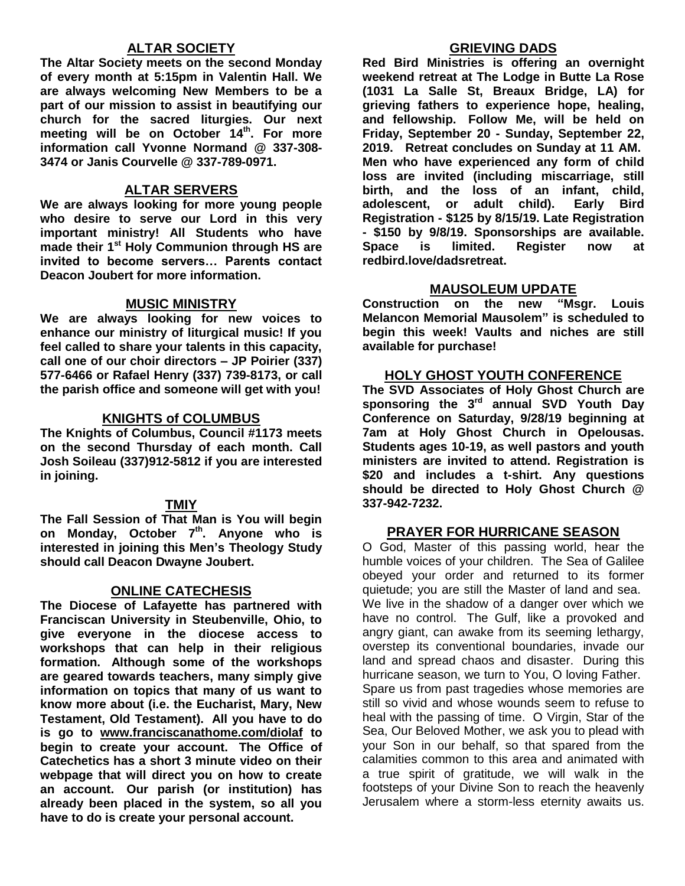## **ALTAR SOCIETY**

**The Altar Society meets on the second Monday of every month at 5:15pm in Valentin Hall. We are always welcoming New Members to be a part of our mission to assist in beautifying our church for the sacred liturgies. Our next meeting will be on October 14th . For more information call Yvonne Normand @ 337-308- 3474 or Janis Courvelle @ 337-789-0971.** 

#### **ALTAR SERVERS**

**We are always looking for more young people who desire to serve our Lord in this very important ministry! All Students who have made their 1st Holy Communion through HS are invited to become servers… Parents contact Deacon Joubert for more information.**

### **MUSIC MINISTRY**

**We are always looking for new voices to enhance our ministry of liturgical music! If you feel called to share your talents in this capacity, call one of our choir directors – JP Poirier (337) 577-6466 or Rafael Henry (337) 739-8173, or call the parish office and someone will get with you!**

### **KNIGHTS of COLUMBUS**

**The Knights of Columbus, Council #1173 meets on the second Thursday of each month. Call Josh Soileau (337)912-5812 if you are interested in joining.** 

## **TMIY**

**The Fall Session of That Man is You will begin on Monday, October 7th. Anyone who is interested in joining this Men's Theology Study should call Deacon Dwayne Joubert.**

#### **ONLINE CATECHESIS**

**The Diocese of Lafayette has partnered with Franciscan University in Steubenville, Ohio, to give everyone in the diocese access to workshops that can help in their religious formation. Although some of the workshops are geared towards teachers, many simply give information on topics that many of us want to know more about (i.e. the Eucharist, Mary, New Testament, Old Testament). All you have to do is go to [www.franciscanathome.com/diolaf](http://www.franciscanathome.com/diolaf) to begin to create your account. The Office of Catechetics has a short 3 minute video on their webpage that will direct you on how to create an account. Our parish (or institution) has already been placed in the system, so all you have to do is create your personal account.**

### **GRIEVING DADS**

**Red Bird Ministries is offering an overnight weekend retreat at The Lodge in Butte La Rose (1031 La Salle St, Breaux Bridge, LA) for grieving fathers to experience hope, healing, and fellowship. Follow Me, will be held on Friday, September 20 - Sunday, September 22, 2019. Retreat concludes on Sunday at 11 AM. Men who have experienced any form of child loss are invited (including miscarriage, still birth, and the loss of an infant, child, adolescent, or adult child). Early Bird Registration - \$125 by 8/15/19. Late Registration - \$150 by 9/8/19. Sponsorships are available. Space is limited. Register now at redbird.love/dadsretreat.**

### **MAUSOLEUM UPDATE**

**Construction on the new "Msgr. Louis Melancon Memorial Mausolem" is scheduled to begin this week! Vaults and niches are still available for purchase!**

#### **HOLY GHOST YOUTH CONFERENCE**

**The SVD Associates of Holy Ghost Church are sponsoring the 3rd annual SVD Youth Day Conference on Saturday, 9/28/19 beginning at 7am at Holy Ghost Church in Opelousas. Students ages 10-19, as well pastors and youth ministers are invited to attend. Registration is \$20 and includes a t-shirt. Any questions should be directed to Holy Ghost Church @ 337-942-7232.**

#### **PRAYER FOR HURRICANE SEASON**

O God, Master of this passing world, hear the humble voices of your children. The Sea of Galilee obeyed your order and returned to its former quietude; you are still the Master of land and sea. We live in the shadow of a danger over which we have no control. The Gulf, like a provoked and angry giant, can awake from its seeming lethargy, overstep its conventional boundaries, invade our land and spread chaos and disaster. During this hurricane season, we turn to You, O loving Father. Spare us from past tragedies whose memories are still so vivid and whose wounds seem to refuse to heal with the passing of time. O Virgin, Star of the Sea, Our Beloved Mother, we ask you to plead with your Son in our behalf, so that spared from the calamities common to this area and animated with a true spirit of gratitude, we will walk in the footsteps of your Divine Son to reach the heavenly Jerusalem where a storm-less eternity awaits us.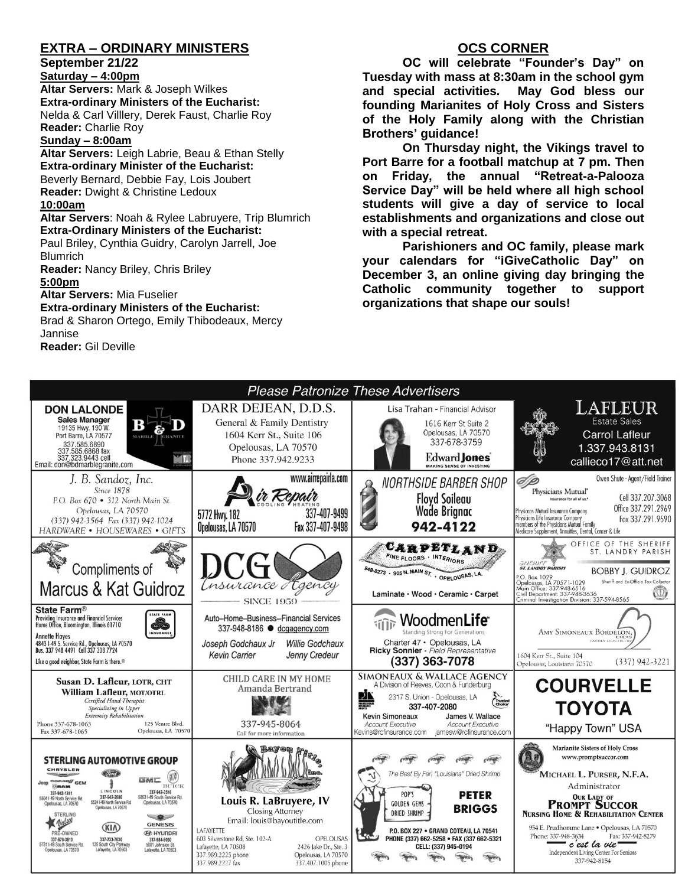## **EXTRA – ORDINARY MINISTERS**

#### **September 21/22**

**Saturday – 4:00pm Altar Servers:** Mark & Joseph Wilkes **Extra-ordinary Ministers of the Eucharist:**  Nelda & Carl Villlery, Derek Faust, Charlie Roy **Reader:** Charlie Roy

#### **Sunday – 8:00am**

**Altar Servers:** Leigh Labrie, Beau & Ethan Stelly **Extra-ordinary Minister of the Eucharist:** Beverly Bernard, Debbie Fay, Lois Joubert **Reader:** Dwight & Christine Ledoux **10:00am Altar Servers**: Noah & Rylee Labruyere, Trip Blumrich

### **Extra-Ordinary Ministers of the Eucharist:**

Paul Briley, Cynthia Guidry, Carolyn Jarrell, Joe Blumrich

**Reader:** Nancy Briley, Chris Briley

#### **5:00pm**

**Altar Servers:** Mia Fuselier

#### **Extra-ordinary Ministers of the Eucharist:**

Brad & Sharon Ortego, Emily Thibodeaux, Mercy Jannise **Reader:** Gil Deville

## **OCS CORNER**

**OC will celebrate "Founder's Day" on Tuesday with mass at 8:30am in the school gym and special activities. May God bless our founding Marianites of Holy Cross and Sisters of the Holy Family along with the Christian Brothers' guidance!**

**On Thursday night, the Vikings travel to Port Barre for a football matchup at 7 pm. Then on Friday, the annual "Retreat-a-Palooza Service Day" will be held where all high school students will give a day of service to local establishments and organizations and close out with a special retreat.**

**Parishioners and OC family, please mark your calendars for "iGiveCatholic Day" on December 3, an online giving day bringing the Catholic community together to support organizations that shape our souls!**